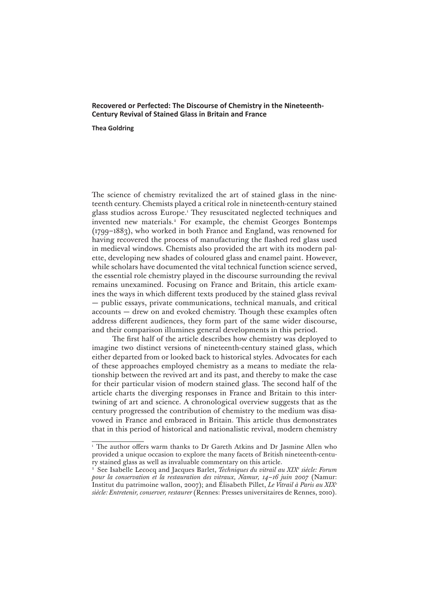# **Recovered or Perfected: The Discourse of Chemistry in the Nineteenth-Century Revival of Stained Glass in Britain and France**

#### **Thea Goldring**

The science of chemistry revitalized the art of stained glass in the nineteenth century. Chemists played a critical role in nineteenth-century stained glass studios across Europe.1 They resuscitated neglected techniques and invented new materials.<sup>2</sup> For example, the chemist Georges Bontemps (1799–1883), who worked in both France and England, was renowned for having recovered the process of manufacturing the flashed red glass used in medieval windows. Chemists also provided the art with its modern palette, developing new shades of coloured glass and enamel paint. However, while scholars have documented the vital technical function science served, the essential role chemistry played in the discourse surrounding the revival remains unexamined. Focusing on France and Britain, this article examines the ways in which different texts produced by the stained glass revival — public essays, private communications, technical manuals, and critical accounts — drew on and evoked chemistry. Though these examples often address different audiences, they form part of the same wider discourse, and their comparison illumines general developments in this period.

The first half of the article describes how chemistry was deployed to imagine two distinct versions of nineteenth-century stained glass, which either departed from or looked back to historical styles. Advocates for each of these approaches employed chemistry as a means to mediate the relationship between the revived art and its past, and thereby to make the case for their particular vision of modern stained glass. The second half of the article charts the diverging responses in France and Britain to this intertwining of art and science. A chronological overview suggests that as the century progressed the contribution of chemistry to the medium was disavowed in France and embraced in Britain. This article thus demonstrates that in this period of historical and nationalistic revival, modern chemistry

<sup>&</sup>lt;sup>1</sup> The author offers warm thanks to Dr Gareth Atkins and Dr Jasmine Allen who provided a unique occasion to explore the many facets of British nineteenth-century stained glass as well as invaluable commentary on this article.

<sup>2</sup> See Isabelle Lecocq and Jacques Barlet, *Techniques du vitrail au XIXe siècle: Forum pour la conservation et la restauration des vitraux, Namur, 14–16 juin 2007* (Namur: Institut du patrimoine wallon, 2007); and Élisabeth Pillet, *Le Vitrail à Paris au XIXe siècle: Entretenir, conserver, restaurer* (Rennes: Presses universitaires de Rennes, 2010).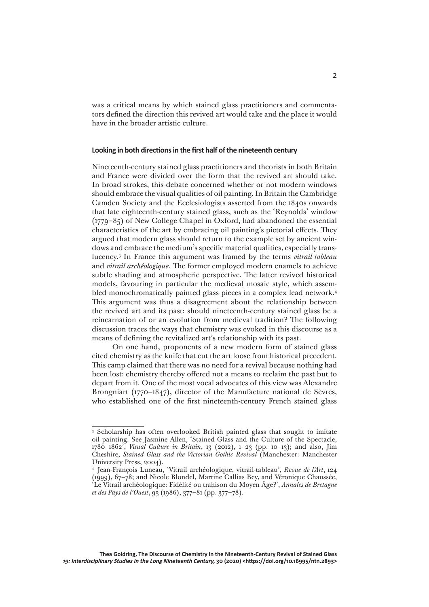was a critical means by which stained glass practitioners and commentators defined the direction this revived art would take and the place it would have in the broader artistic culture.

#### **Looking in both directions in the first half of the nineteenth century**

Nineteenth-century stained glass practitioners and theorists in both Britain and France were divided over the form that the revived art should take. In broad strokes, this debate concerned whether or not modern windows should embrace the visual qualities of oil painting. In Britain the Cambridge Camden Society and the Ecclesiologists asserted from the 1840s onwards that late eighteenth-century stained glass, such as the 'Reynolds' window (1779–85) of New College Chapel in Oxford, had abandoned the essential characteristics of the art by embracing oil painting's pictorial effects. They argued that modern glass should return to the example set by ancient windows and embrace the medium's specific material qualities, especially translucency.3 In France this argument was framed by the terms *vitrail tableau*  and *vitrail archéologique.* The former employed modern enamels to achieve subtle shading and atmospheric perspective. The latter revived historical models, favouring in particular the medieval mosaic style, which assembled monochromatically painted glass pieces in a complex lead network.4 This argument was thus a disagreement about the relationship between the revived art and its past: should nineteenth-century stained glass be a reincarnation of or an evolution from medieval tradition? The following discussion traces the ways that chemistry was evoked in this discourse as a means of defining the revitalized art's relationship with its past.

On one hand, proponents of a new modern form of stained glass cited chemistry as the knife that cut the art loose from historical precedent. This camp claimed that there was no need for a revival because nothing had been lost: chemistry thereby offered not a means to reclaim the past but to depart from it. One of the most vocal advocates of this view was Alexandre Brongniart (1770–1847), director of the Manufacture national de Sèvres, who established one of the first nineteenth-century French stained glass

<sup>&</sup>lt;sup>3</sup> Scholarship has often overlooked British painted glass that sought to imitate oil painting. See Jasmine Allen, 'Stained Glass and the Culture of the Spectacle, 1780–1862', *Visual Culture in Britain*, 13 (2012), 1–23 (pp. 10–13); and also, Jim Cheshire, *Stained Glass and the Victorian Gothic Revival* (Manchester: Manchester University Press, 2004).

<sup>4</sup> Jean-François Luneau, 'Vitrail archéologique, vitrail-tableau', *Revue de l'Art*, 124 (1999), 67–78; and Nicole Blondel, Martine Callias Bey, and Véronique Chaussée, 'Le Vitrail archéologique: Fidélité ou trahison du Moyen Âge?', *Annales de Bretagne et des Pays de l'Ouest*, 93 (1986), 377–81 (pp. 377–78).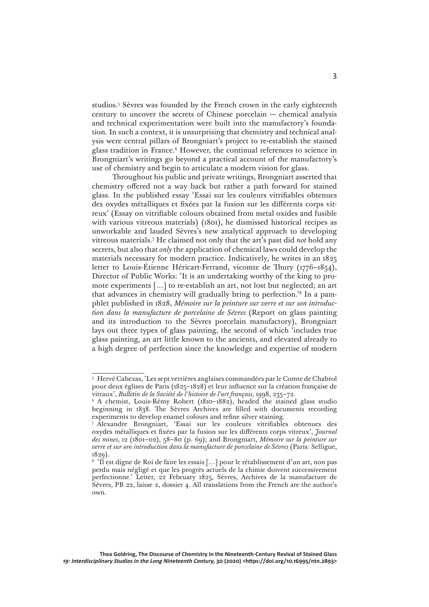studios.5 Sèvres was founded by the French crown in the early eighteenth century to uncover the secrets of Chinese porcelain — chemical analysis and technical experimentation were built into the manufactory's foundation. In such a context, it is unsurprising that chemistry and technical analysis were central pillars of Brongniart's project to re-establish the stained glass tradition in France.6 However, the continual references to science in Brongniart's writings go beyond a practical account of the manufactory's use of chemistry and begin to articulate a modern vision for glass.

Throughout his public and private writings, Brongniart asserted that chemistry offered not a way back but rather a path forward for stained glass. In the published essay 'Essai sur les couleurs vitrifiables obtenues des oxydes métalliques et fixées par la fusion sur les différents corps vitreux' (Essay on vitrifiable colours obtained from metal oxides and fusible with various vitreous materials) (1801), he dismissed historical recipes as unworkable and lauded Sèvres's new analytical approach to developing vitreous materials.7 He claimed not only that the art's past did *not* hold any secrets, but also that *only* the application of chemical laws could develop the materials necessary for modern practice. Indicatively, he writes in an 1825 letter to Louis-Étienne Héricart-Ferrand, vicomte de Thury (1776–1854), Director of Public Works: 'It is an undertaking worthy of the king to promote experiments […] to re-establish an art, not lost but neglected; an art that advances in chemistry will gradually bring to perfection.'8 In a pamphlet published in 1828, *Mémoire sur la peinture sur verre et sur son introduction dans la manufacture de porcelaine de Sèvres* (Report on glass painting and its introduction to the Sèvres porcelain manufactory), Brongniart lays out three types of glass painting, the second of which 'includes true glass painting, an art little known to the ancients, and elevated already to a high degree of perfection since the knowledge and expertise of modern

<sup>5</sup> Hervé Cabezas, 'Les sept verrières anglaises commandées par le Comte de Chabrol pour deux églises de Paris (1825–1828) et leur influence sur la création française de vitraux', *Bulletin de la Société de l'histoire de l'art français*, 1998, 235–72.

<sup>&</sup>lt;sup>6</sup> A chemist, Louis-Rémy Robert (1810-1882), headed the stained glass studio beginning in 1838. The Sèvres Archives are filled with documents recording experiments to develop enamel colours and refine silver staining.

<sup>7</sup> Alexandre Brongniart, 'Essai sur les couleurs vitrifiables obtenues des oxydes métalliques et fixées par la fusion sur les différents corps vitreux', *Journal des mines*, 12 (1801–02), 58–80 (p. 69); and Brongniart, *Mémoire sur la peinture sur verre et sur son introduction dans la manufacture de porcelaine de Sèvres* (Paris: Selligue, 1829).

<sup>&</sup>lt;sup>8</sup> 'Il est digne de Roi de faire les essais [...] pour le rétablissement d'un art, non pas perdu mais négligé et que les progrès actuels de la chimie doivent successivement perfectionne.' Letter, 22 February 1825, Sèvres, Archives de la manufacture de Sèvres, PB 22, laisse 2, dossier 4. All translations from the French are the author's own.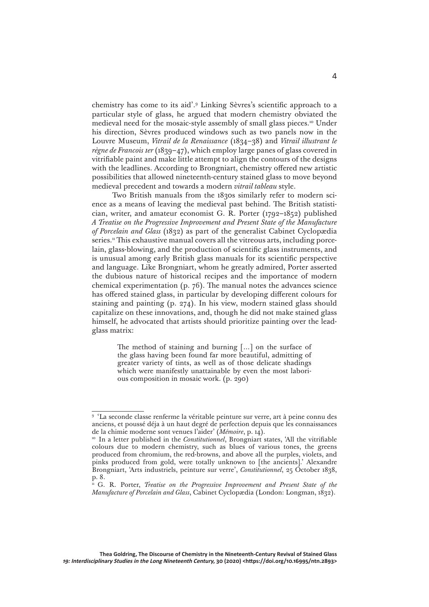chemistry has come to its aid'.9 Linking Sèvres's scientific approach to a particular style of glass, he argued that modern chemistry obviated the medieval need for the mosaic-style assembly of small glass pieces.10 Under his direction, Sèvres produced windows such as two panels now in the Louvre Museum, *Vitrail de la Renaissance* (1834–38) and *Vitrail illustrant le règne de Francois 1er* (1839–47), which employ large panes of glass covered in vitrifiable paint and make little attempt to align the contours of the designs with the leadlines. According to Brongniart, chemistry offered new artistic possibilities that allowed nineteenth-century stained glass to move beyond medieval precedent and towards a modern *vitrail tableau* style.

Two British manuals from the 1830s similarly refer to modern science as a means of leaving the medieval past behind. The British statistician, writer, and amateur economist G. R. Porter (1792–1852) published *A Treatise on the Progressive Improvement and Present State of the Manufacture of Porcelain and Glass* (1832) as part of the generalist Cabinet Cyclopædia series.<sup>11</sup> This exhaustive manual covers all the vitreous arts, including porcelain, glass-blowing, and the production of scientific glass instruments, and is unusual among early British glass manuals for its scientific perspective and language. Like Brongniart, whom he greatly admired, Porter asserted the dubious nature of historical recipes and the importance of modern chemical experimentation (p. 76). The manual notes the advances science has offered stained glass, in particular by developing different colours for staining and painting (p. 274). In his view, modern stained glass should capitalize on these innovations, and, though he did not make stained glass himself, he advocated that artists should prioritize painting over the leadglass matrix:

> The method of staining and burning […] on the surface of the glass having been found far more beautiful, admitting of greater variety of tints, as well as of those delicate shadings which were manifestly unattainable by even the most laborious composition in mosaic work. (p. 290)

4

<sup>9</sup> 'La seconde classe renferme la véritable peinture sur verre, art à peine connu des anciens, et poussé déja à un haut degré de perfection depuis que les connaissances de la chimie moderne sont venues l'aider' (*Mémoire*, p. 14).

<sup>10</sup> In a letter published in the *Constitutionnel*, Brongniart states, 'All the vitrifiable colours due to modern chemistry, such as blues of various tones, the greens produced from chromium, the red-browns, and above all the purples, violets, and pinks produced from gold, were totally unknown to [the ancients].' Alexandre Brongniart, 'Arts industriels, peinture sur verre', *Constitutionnel*, 25 October 1838, p. 8.

<sup>&</sup>lt;sup>11</sup> G. R. Porter, *Treatise on the Progressive Improvement and Present State of the Manufacture of Porcelain and Glass*, Cabinet Cyclopædia (London: Longman, 1832).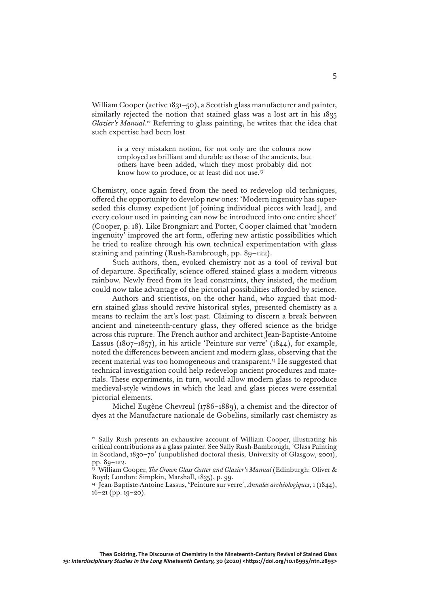William Cooper (active 1831–50), a Scottish glass manufacturer and painter, similarly rejected the notion that stained glass was a lost art in his 1835 Glazier's Manual.<sup>12</sup> Referring to glass painting, he writes that the idea that such expertise had been lost

> is a very mistaken notion, for not only are the colours now employed as brilliant and durable as those of the ancients, but others have been added, which they most probably did not know how to produce, or at least did not use.13

Chemistry, once again freed from the need to redevelop old techniques, offered the opportunity to develop new ones: 'Modern ingenuity has superseded this clumsy expedient [of joining individual pieces with lead], and every colour used in painting can now be introduced into one entire sheet' (Cooper, p. 18). Like Brongniart and Porter, Cooper claimed that 'modern ingenuity' improved the art form, offering new artistic possibilities which he tried to realize through his own technical experimentation with glass staining and painting (Rush-Bambrough, pp. 89–122).

Such authors, then, evoked chemistry not as a tool of revival but of departure. Specifically, science offered stained glass a modern vitreous rainbow. Newly freed from its lead constraints, they insisted, the medium could now take advantage of the pictorial possibilities afforded by science.

Authors and scientists, on the other hand, who argued that modern stained glass should revive historical styles, presented chemistry as a means to reclaim the art's lost past. Claiming to discern a break between ancient and nineteenth-century glass, they offered science as the bridge across this rupture. The French author and architect Jean-Baptiste-Antoine Lassus (1807–1857), in his article 'Peinture sur verre' (1844), for example, noted the differences between ancient and modern glass, observing that the recent material was too homogeneous and transparent.14 He suggested that technical investigation could help redevelop ancient procedures and materials. These experiments, in turn, would allow modern glass to reproduce medieval-style windows in which the lead and glass pieces were essential pictorial elements.

Michel Eugène Chevreul (1786–1889), a chemist and the director of dyes at the Manufacture nationale de Gobelins, similarly cast chemistry as

<sup>12</sup> Sally Rush presents an exhaustive account of William Cooper, illustrating his critical contributions as a glass painter. See Sally Rush-Bambrough, 'Glass Painting in Scotland, 1830–70' (unpublished doctoral thesis, University of Glasgow, 2001), pp. 89–122.

<sup>13</sup> William Cooper, *The Crown Glass Cutter and Glazier's Manual* (Edinburgh: Oliver & Boyd; London: Simpkin, Marshall, 1835), p. 99.

<sup>14</sup> Jean-Baptiste-Antoine Lassus, **'**Peinture sur verre', *Annales archéologiques*, 1 (1844), 16–21 (pp. 19–20).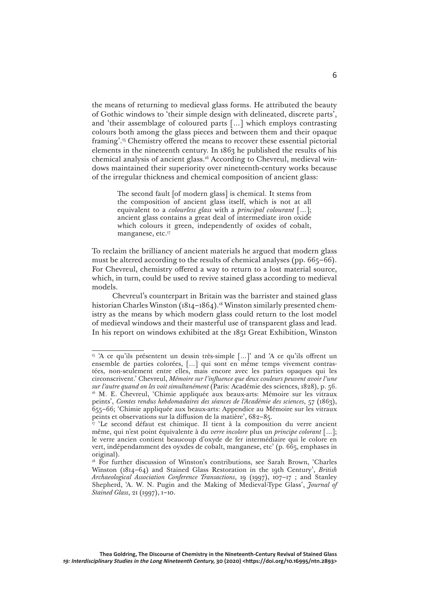the means of returning to medieval glass forms. He attributed the beauty of Gothic windows to 'their simple design with delineated, discrete parts', and 'their assemblage of coloured parts […] which employs contrasting colours both among the glass pieces and between them and their opaque framing'.15 Chemistry offered the means to recover these essential pictorial elements in the nineteenth century. In 1863 he published the results of his chemical analysis of ancient glass.16 According to Chevreul, medieval windows maintained their superiority over nineteenth-century works because of the irregular thickness and chemical composition of ancient glass:

> The second fault [of modern glass] is chemical. It stems from the composition of ancient glass itself, which is not at all equivalent to a *colourless glass* with a *principal colourant* […]; ancient glass contains a great deal of intermediate iron oxide which colours it green, independently of oxides of cobalt, manganese, etc.<sup>17</sup>

To reclaim the brilliancy of ancient materials he argued that modern glass must be altered according to the results of chemical analyses (pp. 665–66). For Chevreul, chemistry offered a way to return to a lost material source, which, in turn, could be used to revive stained glass according to medieval models.

Chevreul's counterpart in Britain was the barrister and stained glass historian Charles Winston (1814–1864).<sup>18</sup> Winston similarly presented chemistry as the means by which modern glass could return to the lost model of medieval windows and their masterful use of transparent glass and lead. In his report on windows exhibited at the 1851 Great Exhibition, Winston

<sup>&</sup>lt;sup>15</sup> 'A ce qu'ils présentent un dessin très-simple [...]' and 'A ce qu'ils offrent un ensemble de parties colorées, […] qui sont en même temps vivement contrastées, non-seulement entre elles, mais encore avec les parties opaques qui les circonscrivent.' Chevreul, *Mémoire sur l'influence que deux couleurs peuvent avoir l'une sur l'autre quand on les voit simultanément* (Paris: Académie des sciences, 1828), p. 56. <sup>16</sup> M. E. Chevreul, 'Chimie appliquée aux beaux-arts: Mémoire sur les vitraux peints', *Comtes rendus hebdomadaires des séances de l'Académie des sciences*, 57 (1863), 655–66; 'Chimie appliquée aux beaux-arts: Appendice au Mémoire sur les vitraux peints et observations sur la diffusion de la matière', 682–85.

<sup>&</sup>lt;sup>17</sup> 'Le second défaut est chimique. Il tient à la composition du verre ancient même, qui n'est point équivalente à du *verre incolore* plus un *principe colorant* […]; le verre ancien contient beaucoup d'oxyde de fer intermédiaire qui le colore en vert, indépendamment des oyxdes de cobalt, manganese, etc' (p. 665, emphases in original).

<sup>&</sup>lt;sup>18</sup> For further discussion of Winston's contributions, see Sarah Brown, 'Charles Winston (1814–64) and Stained Glass Restoration in the 19th Century', *British Archaeological Association Conference Transactions*, 19 (1997), 107–17 ; and Stanley Shepherd, 'A. W. N. Pugin and the Making of Medieval-Type Glass', *Journal of Stained Glass*, 21 (1997), 1–10.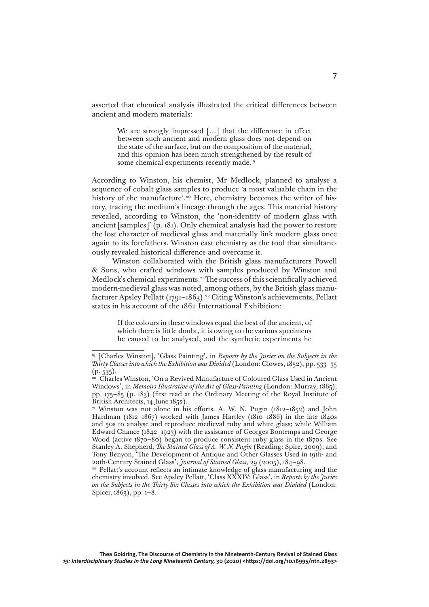asserted that chemical analysis illustrated the critical differences between ancient and modern materials:

> We are strongly impressed [...] that the difference in effect between such ancient and modern glass does not depend on the state of the surface, but on the composition of the material, and this opinion has been much strengthened by the result of some chemical experiments recently made.<sup>19</sup>

According to Winston, his chemist, Mr Medlock, planned to analyse a sequence of cobalt glass samples to produce 'a most valuable chain in the history of the manufacture'.<sup>20</sup> Here, chemistry becomes the writer of history, tracing the medium's lineage through the ages. This material history revealed, according to Winston, the 'non-identity of modern glass with ancient [samples]'  $(p. 181)$ . Only chemical analysis had the power to restore the lost character of medieval glass and materially link modern glass once again to its forefathers. Winston cast chemistry as the tool that simultaneously revealed historical difference and overcame it.

Winston collaborated with the British glass manufacturers Powell & Sons, who crafted windows with samples produced by Winston and Medlock's chemical experiments.<sup>21</sup> The success of this scientifically achieved modern-medieval glass was noted, among others, by the British glass manufacturer Apsley Pellatt (1791-1863).<sup>22</sup> Citing Winston's achievements, Pellatt states in his account of the 1862 International Exhibition:

> If the colours in these windows equal the best of the ancient, of which there is little doubt, it is owing to the various specimens he caused to be analysed, and the synthetic experiments he

<sup>19</sup> [Charles Winston], 'Glass Painting', in *Reports by the Juries on the Subjects in the Thirty Classes into which the Exhibition was Divided* (London: Clowes, 1852), pp. 533–35  $(p. 535)$ .

<sup>20</sup> Charles Winston, 'On a Revived Manufacture of Coloured Glass Used in Ancient Windows', in *Memoirs Illustrative of the Art of Glass-Painting* (London: Murray, 1865), pp. 175–85 (p. 183) (first read at the Ordinary Meeting of the Royal Institute of British Architects, 14 June 1852).

<sup>&</sup>lt;sup>21</sup> Winston was not alone in his efforts. A. W. N. Pugin (1812–1852) and John Hardman (1812–1867) worked with James Hartley (1810–1886) in the late 1840s and 50s to analyse and reproduce medieval ruby and white glass; while William Edward Chance  $(1842 - 1923)$  with the assistance of Georges Bontemps and George Wood (active 1870–80) began to produce consistent ruby glass in the 1870s. See Stanley A. Shepherd, *The Stained Glass of A. W. N. Pugin* (Reading: Spire, 2009); and Tony Benyon, 'The Development of Antique and Other Glasses Used in 19th- and 20th-Century Stained Glass', *Journal of Stained Glass*, 29 (2005), 184–98.

<sup>&</sup>lt;sup>22</sup> Pellatt's account reflects an intimate knowledge of glass manufacturing and the chemistry involved. See Apsley Pellatt, 'Class XXXIV: Glass', in *Reports by the Juries on the Subjects in the Thirty-Six Classes into which the Exhibition was Divided* (London: Spicer, 1863), pp. 1–8.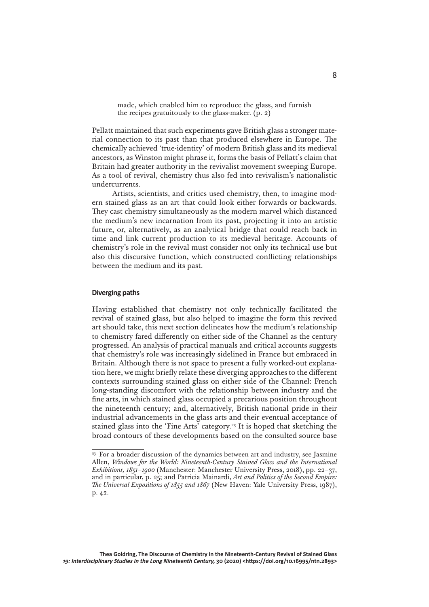made, which enabled him to reproduce the glass, and furnish the recipes gratuitously to the glass-maker.  $(p, 2)$ 

Pellatt maintained that such experiments gave British glass a stronger material connection to its past than that produced elsewhere in Europe. The chemically achieved 'true-identity' of modern British glass and its medieval ancestors, as Winston might phrase it, forms the basis of Pellatt's claim that Britain had greater authority in the revivalist movement sweeping Europe. As a tool of revival, chemistry thus also fed into revivalism's nationalistic undercurrents.

Artists, scientists, and critics used chemistry, then, to imagine modern stained glass as an art that could look either forwards or backwards. They cast chemistry simultaneously as the modern marvel which distanced the medium's new incarnation from its past, projecting it into an artistic future, or, alternatively, as an analytical bridge that could reach back in time and link current production to its medieval heritage. Accounts of chemistry's role in the revival must consider not only its technical use but also this discursive function, which constructed conflicting relationships between the medium and its past.

## **Diverging paths**

Having established that chemistry not only technically facilitated the revival of stained glass, but also helped to imagine the form this revived art should take, this next section delineates how the medium's relationship to chemistry fared differently on either side of the Channel as the century progressed. An analysis of practical manuals and critical accounts suggests that chemistry's role was increasingly sidelined in France but embraced in Britain. Although there is not space to present a fully worked-out explanation here, we might briefly relate these diverging approaches to the different contexts surrounding stained glass on either side of the Channel: French long-standing discomfort with the relationship between industry and the fine arts, in which stained glass occupied a precarious position throughout the nineteenth century; and, alternatively, British national pride in their industrial advancements in the glass arts and their eventual acceptance of stained glass into the 'Fine Arts' category.23 It is hoped that sketching the broad contours of these developments based on the consulted source base

<sup>&</sup>lt;sup>23</sup> For a broader discussion of the dynamics between art and industry, see Jasmine Allen, *Windows for the World: Nineteenth-Century Stained Glass and the International Exhibitions, 1851–1900* (Manchester: Manchester University Press, 2018), pp. 22–37, and in particular, p. 25; and Patricia Mainardi, *Art and Politics of the Second Empire: The Universal Expositions of 1855 and 1867* (New Haven: Yale University Press, 1987), p. 42.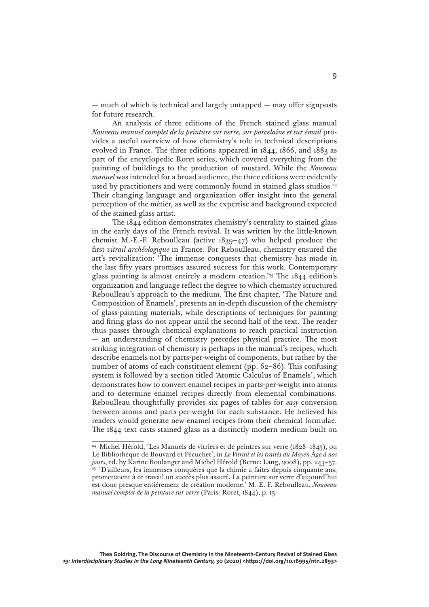— much of which is technical and largely untapped — may offer signposts for future research.

An analysis of three editions of the French stained glass manual *Nouveau manuel complet de la peinture sur verre, sur porcelaine et sur émail* provides a useful overview of how chemistry's role in technical descriptions evolved in France. The three editions appeared in 1844, 1866, and 1883 as part of the encyclopedic Roret series, which covered everything from the painting of buildings to the production of mustard. While the *Nouveau manuel* was intended for a broad audience, the three editions were evidently used by practitioners and were commonly found in stained glass studios.<sup>24</sup> Their changing language and organization offer insight into the general perception of the métier, as well as the expertise and background expected of the stained glass artist.

The 1844 edition demonstrates chemistry's centrality to stained glass in the early days of the French revival. It was written by the little-known chemist M.-E.-F. Reboulleau (active 1839–47) who helped produce the first *vitrail archéologique* in France. For Reboulleau, chemistry ensured the art's revitalization: 'The immense conquests that chemistry has made in the last fifty years promises assured success for this work. Contemporary glass painting is almost entirely a modern creation.'25 The 1844 edition's organization and language reflect the degree to which chemistry structured Reboulleau's approach to the medium. The first chapter, 'The Nature and Composition of Enamels', presents an in-depth discussion of the chemistry of glass-painting materials, while descriptions of techniques for painting and firing glass do not appear until the second half of the text. The reader thus passes through chemical explanations to reach practical instruction — an understanding of chemistry precedes physical practice. The most striking integration of chemistry is perhaps in the manual's recipes, which describe enamels not by parts-per-weight of components, but rather by the number of atoms of each constituent element (pp. 62–86). This confusing system is followed by a section titled 'Atomic Calculus of Enamels', which demonstrates how to convert enamel recipes in parts-per-weight into atoms and to determine enamel recipes directly from elemental combinations. Reboulleau thoughtfully provides six pages of tables for *easy* conversion between atoms and parts-per-weight for each substance. He believed his readers would generate new enamel recipes from their chemical formulae. The 1844 text casts stained glass as a distinctly modern medium built on

<sup>24</sup> Michel Hérold, 'Les Manuels de vitriers et de peintres sur verre (1828–1843), ou Le Bibliothèque de Bouvard et Pécuchet', in *Le Vitrail et les traités du Moyen* Â*ge à nos jours*, ed. by Karine Boulanger and Michel Hérold (Berne: Lang, 2008), pp. 243–57. <sup>25</sup> 'D'ailleurs, les immenses conquètes que la chimie a faites depuis cinquante ans, promettaient à ce travail un succès plus assuré. La peinture sur verre d'aujourd'hui est donc presque entiérement de création moderne.' M.-E.-F. Reboulleau, *Nouveau manuel complet de la peinture sur verre* (Paris: Roret, 1844), p. 13.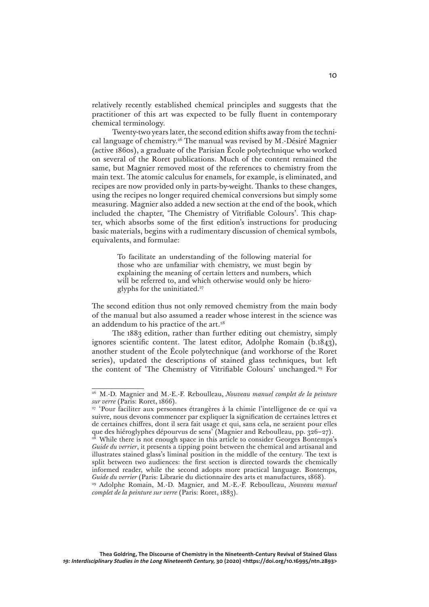relatively recently established chemical principles and suggests that the practitioner of this art was expected to be fully fluent in contemporary chemical terminology.

Twenty-two years later, the second edition shifts away from the technical language of chemistry.26 The manual was revised by M.-Désiré Magnier (active 1860s), a graduate of the Parisian École polytechnique who worked on several of the Roret publications. Much of the content remained the same, but Magnier removed most of the references to chemistry from the main text. The atomic calculus for enamels, for example, is eliminated, and recipes are now provided only in parts-by-weight. Thanks to these changes, using the recipes no longer required chemical conversions but simply some measuring. Magnier also added a new section at the end of the book, which included the chapter, 'The Chemistry of Vitrifiable Colours'. This chapter, which absorbs some of the first edition's instructions for producing basic materials, begins with a rudimentary discussion of chemical symbols, equivalents, and formulae:

> To facilitate an understanding of the following material for those who are unfamiliar with chemistry, we must begin by explaining the meaning of certain letters and numbers, which will be referred to, and which otherwise would only be hieroglyphs for the uninitiated.<sup>27</sup>

The second edition thus not only removed chemistry from the main body of the manual but also assumed a reader whose interest in the science was an addendum to his practice of the art.<sup>28</sup>

The 1883 edition, rather than further editing out chemistry, simply ignores scientific content. The latest editor, Adolphe Romain (b.1843), another student of the École polytechnique (and workhorse of the Roret series), updated the descriptions of stained glass techniques, but left the content of 'The Chemistry of Vitrifiable Colours' unchanged.29 For

<sup>26</sup> M.-D. Magnier and M.-E.-F. Reboulleau, *Nouveau manuel complet de la peinture sur verre* (Paris: Roret, 1866).

<sup>&</sup>lt;sup>27</sup> 'Pour faciliter aux personnes étrangères à la chimie l'intelligence de ce qui va suivre, nous devons commencer par expliquer la signification de certaines lettres et de certaines chiffres, dont il sera fait usage et qui, sans cela, ne seraient pour elles que des hiéroglyphes dépourvus de sens' (Magnier and Reboulleau, pp. 326–27).

<sup>&</sup>lt;sup>28</sup> While there is not enough space in this article to consider Georges Bontemps's *Guide du verrier*, it presents a tipping point between the chemical and artisanal and illustrates stained glass's liminal position in the middle of the century. The text is split between two audiences: the first section is directed towards the chemically informed reader, while the second adopts more practical language. Bontemps, *Guide du verrier* (Paris: Librarie du dictionnaire des arts et manufactures, 1868).

<sup>29</sup> Adolphe Romain, M.-D. Magnier, and M.-E.-F. Reboulleau, *Nouveau manuel complet de la peinture sur verre* (Paris: Roret, 1883).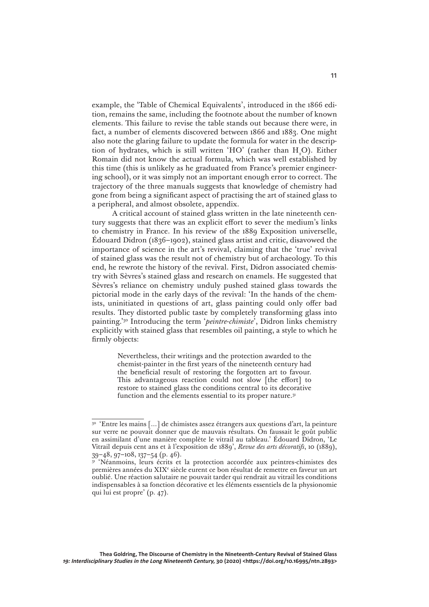example, the 'Table of Chemical Equivalents', introduced in the 1866 edition, remains the same, including the footnote about the number of known elements. This failure to revise the table stands out because there were, in fact, a number of elements discovered between 1866 and 1883. One might also note the glaring failure to update the formula for water in the description of hydrates, which is still written 'HO' (rather than  $H_2O$ ). Either Romain did not know the actual formula, which was well established by this time (this is unlikely as he graduated from France's premier engineering school), or it was simply not an important enough error to correct. The trajectory of the three manuals suggests that knowledge of chemistry had gone from being a significant aspect of practising the art of stained glass to a peripheral, and almost obsolete, appendix.

A critical account of stained glass written in the late nineteenth century suggests that there was an explicit effort to sever the medium's links to chemistry in France. In his review of the 1889 Exposition universelle, Édouard Didron (1836–1902), stained glass artist and critic, disavowed the importance of science in the art's revival, claiming that the 'true' revival of stained glass was the result not of chemistry but of archaeology. To this end, he rewrote the history of the revival. First, Didron associated chemistry with Sèvres's stained glass and research on enamels. He suggested that Sèvres's reliance on chemistry unduly pushed stained glass towards the pictorial mode in the early days of the revival: 'In the hands of the chemists, uninitiated in questions of art, glass painting could only offer bad results. They distorted public taste by completely transforming glass into painting.'30 Introducing the term '*peintre-chimiste*', Didron links chemistry explicitly with stained glass that resembles oil painting, a style to which he firmly objects:

> Nevertheless, their writings and the protection awarded to the chemist-painter in the first years of the nineteenth century had the beneficial result of restoring the forgotten art to favour. This advantageous reaction could not slow [the effort] to restore to stained glass the conditions central to its decorative function and the elements essential to its proper nature.<sup>31</sup>

<sup>30</sup> 'Entre les mains […] de chimistes assez étrangers aux questions d'art, la peinture sur verre ne pouvait donner que de mauvais résultats. On faussait le goût public en assimilant d'une manière complète le vitrail au tableau.' Édouard Didron, 'Le Vitrail depuis cent ans et à l'exposition de 1889', *Revue des arts décoratifs*, 10 (1889), 39–48, 97–108, 137–54 (p. 46).

<sup>&#</sup>x27;Néanmoins, leurs écrits et la protection accordée aux peintres-chimistes des premières années du XIX<sup>e</sup> siècle eurent ce bon résultat de remettre en faveur un art oublié. Une réaction salutaire ne pouvait tarder qui rendrait au vitrail les conditions indispensables à sa fonction décorative et les éléments essentiels de la physionomie qui lui est propre' (p. 47).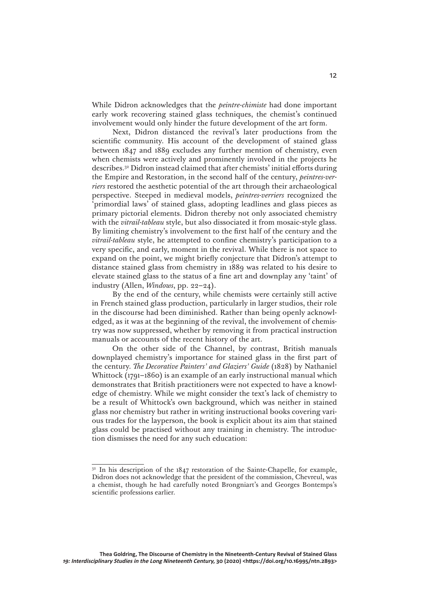While Didron acknowledges that the *peintre-chimiste* had done important early work recovering stained glass techniques, the chemist's continued involvement would only hinder the future development of the art form.

Next, Didron distanced the revival's later productions from the scientific community. His account of the development of stained glass between 1847 and 1889 excludes any further mention of chemistry, even when chemists were actively and prominently involved in the projects he describes.32 Didron instead claimed that after chemists' initial efforts during the Empire and Restoration, in the second half of the century, *peintres-verriers* restored the aesthetic potential of the art through their archaeological perspective. Steeped in medieval models, *peintres-verriers* recognized the 'primordial laws' of stained glass, adopting leadlines and glass pieces as primary pictorial elements. Didron thereby not only associated chemistry with the *vitrail-tableau* style, but also dissociated it from mosaic-style glass. By limiting chemistry's involvement to the first half of the century and the *vitrail-tableau* style, he attempted to confine chemistry's participation to a very specific, and early, moment in the revival. While there is not space to expand on the point, we might briefly conjecture that Didron's attempt to distance stained glass from chemistry in 1889 was related to his desire to elevate stained glass to the status of a fine art and downplay any 'taint' of industry (Allen, *Windows*, pp. 22–24).

By the end of the century, while chemists were certainly still active in French stained glass production, particularly in larger studios, their role in the discourse had been diminished. Rather than being openly acknowledged, as it was at the beginning of the revival, the involvement of chemistry was now suppressed, whether by removing it from practical instruction manuals or accounts of the recent history of the art.

On the other side of the Channel, by contrast, British manuals downplayed chemistry's importance for stained glass in the first part of the century. *The Decorative Painters' and Glaziers' Guide* (1828) by Nathaniel Whittock (1791–1860) is an example of an early instructional manual which demonstrates that British practitioners were not expected to have a knowledge of chemistry. While we might consider the text's lack of chemistry to be a result of Whittock's own background, which was neither in stained glass nor chemistry but rather in writing instructional books covering various trades for the layperson, the book is explicit about its aim that stained glass could be practised without any training in chemistry. The introduction dismisses the need for any such education:

<sup>&</sup>lt;sup>32</sup> In his description of the 1847 restoration of the Sainte-Chapelle, for example, Didron does not acknowledge that the president of the commission, Chevreul, was a chemist, though he had carefully noted Brongniart's and Georges Bontemps's scientific professions earlier.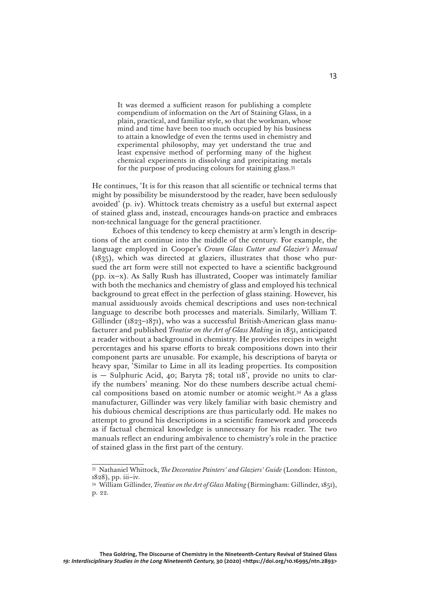It was deemed a sufficient reason for publishing a complete compendium of information on the Art of Staining Glass, in a plain, practical, and familiar style, so that the workman, whose mind and time have been too much occupied by his business to attain a knowledge of even the terms used in chemistry and experimental philosophy, may yet understand the true and least expensive method of performing many of the highest chemical experiments in dissolving and precipitating metals for the purpose of producing colours for staining glass.33

He continues, 'It is for this reason that all scientific or technical terms that might by possibility be misunderstood by the reader, have been sedulously avoided' (p. iv). Whittock treats chemistry as a useful but external aspect of stained glass and, instead, encourages hands-on practice and embraces non-technical language for the general practitioner.

Echoes of this tendency to keep chemistry at arm's length in descriptions of the art continue into the middle of the century. For example, the language employed in Cooper's *Crown Glass Cutter and Glazier's Manual* (1835), which was directed at glaziers, illustrates that those who pursued the art form were still not expected to have a scientific background (pp. ix–x). As Sally Rush has illustrated, Cooper was intimately familiar with both the mechanics and chemistry of glass and employed his technical background to great effect in the perfection of glass staining. However, his manual assiduously avoids chemical descriptions and uses non-technical language to describe both processes and materials. Similarly, William T. Gillinder (1823–1871), who was a successful British-American glass manufacturer and published *Treatise on the Art of Glass Making* in 1851, anticipated a reader without a background in chemistry. He provides recipes in weight percentages and his sparse efforts to break compositions down into their component parts are unusable. For example, his descriptions of baryta or heavy spar, 'Similar to Lime in all its leading properties. Its composition is — Sulphuric Acid, 40; Baryta 78; total 118', provide no units to clarify the numbers' meaning. Nor do these numbers describe actual chemical compositions based on atomic number or atomic weight.34 As a glass manufacturer, Gillinder was very likely familiar with basic chemistry and his dubious chemical descriptions are thus particularly odd. He makes no attempt to ground his descriptions in a scientific framework and proceeds as if factual chemical knowledge is unnecessary for his reader. The two manuals reflect an enduring ambivalence to chemistry's role in the practice of stained glass in the first part of the century.

<sup>33</sup> Nathaniel Whittock, *The Decorative Painters' and Glaziers' Guide* (London: Hinton, 1828), pp. iii–iv.

<sup>34</sup> William Gillinder, *Treatise on the Art of Glass Making* (Birmingham: Gillinder, 1851), p. 22.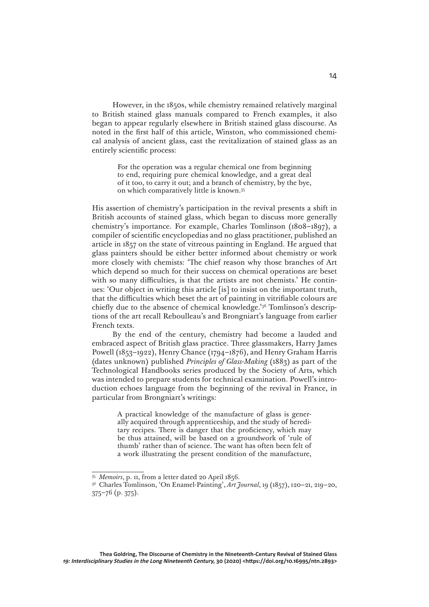However, in the 1850s, while chemistry remained relatively marginal to British stained glass manuals compared to French examples, it also began to appear regularly elsewhere in British stained glass discourse. As noted in the first half of this article, Winston, who commissioned chemical analysis of ancient glass, cast the revitalization of stained glass as an entirely scientific process:

> For the operation was a regular chemical one from beginning to end, requiring pure chemical knowledge, and a great deal of it too, to carry it out; and a branch of chemistry, by the bye, on which comparatively little is known.35

His assertion of chemistry's participation in the revival presents a shift in British accounts of stained glass, which began to discuss more generally chemistry's importance. For example, Charles Tomlinson (1808–1897), a compiler of scientific encyclopedias and no glass practitioner, published an article in 1857 on the state of vitreous painting in England. He argued that glass painters should be either better informed about chemistry or work more closely with chemists: 'The chief reason why those branches of Art which depend so much for their success on chemical operations are beset with so many difficulties, is that the artists are not chemists.' He continues: 'Our object in writing this article [is] to insist on the important truth, that the difficulties which beset the art of painting in vitrifiable colours are chiefly due to the absence of chemical knowledge.'36 Tomlinson's descriptions of the art recall Reboulleau's and Brongniart's language from earlier French texts.

By the end of the century, chemistry had become a lauded and embraced aspect of British glass practice. Three glassmakers, Harry James Powell (1853–1922), Henry Chance (1794–1876), and Henry Graham Harris (dates unknown) published *Principles of Glass-Making* (1883) as part of the Technological Handbooks series produced by the Society of Arts, which was intended to prepare students for technical examination. Powell's introduction echoes language from the beginning of the revival in France, in particular from Brongniart's writings:

> A practical knowledge of the manufacture of glass is generally acquired through apprenticeship, and the study of hereditary recipes. There is danger that the proficiency, which may be thus attained, will be based on a groundwork of 'rule of thumb' rather than of science. The want has often been felt of a work illustrating the present condition of the manufacture,

<sup>35</sup> *Memoirs*, p. 11, from a letter dated 20 April 1856.

<sup>36</sup> Charles Tomlinson, 'On Enamel-Painting', *Art Journal*, 19 (1857), 120–21, 219–20, 375–76 (p. 375).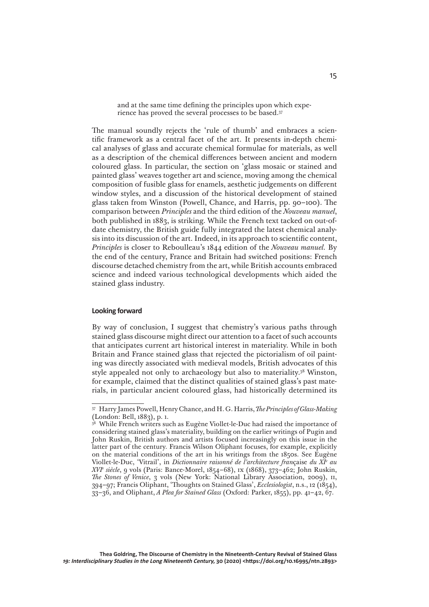and at the same time defining the principles upon which experience has proved the several processes to be based.37

The manual soundly rejects the 'rule of thumb' and embraces a scientific framework as a central facet of the art. It presents in-depth chemical analyses of glass and accurate chemical formulae for materials, as well as a description of the chemical differences between ancient and modern coloured glass. In particular, the section on 'glass mosaic or stained and painted glass' weaves together art and science, moving among the chemical composition of fusible glass for enamels, aesthetic judgements on different window styles, and a discussion of the historical development of stained glass taken from Winston (Powell, Chance, and Harris, pp. 90–100). The comparison between *Principles* and the third edition of the *Nouveau manuel*, both published in 1883, is striking. While the French text tacked on out-ofdate chemistry, the British guide fully integrated the latest chemical analysis into its discussion of the art. Indeed, in its approach to scientific content, *Principles* is closer to Reboulleau's 1844 edition of the *Nouveau manuel.* By the end of the century, France and Britain had switched positions: French discourse detached chemistry from the art, while British accounts embraced science and indeed various technological developments which aided the stained glass industry.

### **Looking forward**

By way of conclusion, I suggest that chemistry's various paths through stained glass discourse might direct our attention to a facet of such accounts that anticipates current art historical interest in materiality. While in both Britain and France stained glass that rejected the pictorialism of oil painting was directly associated with medieval models, British advocates of this style appealed not only to archaeology but also to materiality.38 Winston, for example, claimed that the distinct qualities of stained glass's past materials, in particular ancient coloured glass, had historically determined its

<sup>37</sup> Harry James Powell, Henry Chance, and H. G. Harris, *The Principles of Glass-Making* (London: Bell, 1883), p. 1.

<sup>&</sup>lt;sup>38</sup> While French writers such as Eugène Viollet-le-Duc had raised the importance of considering stained glass's materiality, building on the earlier writings of Pugin and John Ruskin, British authors and artists focused increasingly on this issue in the latter part of the century. Francis Wilson Oliphant focuses, for example, explicitly on the material conditions of the art in his writings from the 1850s. See Eugène Viollet-le-Duc, 'Vitrail', in *Dictionnaire raisonné de l'architecture fran*çaise *du XIe au XVIe siècle*, 9 vols (Paris: Bance-Morel, 1854–68), ix (1868), 373–462; John Ruskin, *The Stones of Venice*, 3 vols (New York: National Library Association, 2009), ii, 394–97; Francis Oliphant, 'Thoughts on Stained Glass', *Ecclesiologist*, n.s., 12 (1854), 33–36, and Oliphant, *A Plea for Stained Glass* (Oxford: Parker, 1855), pp. 41–42, 67.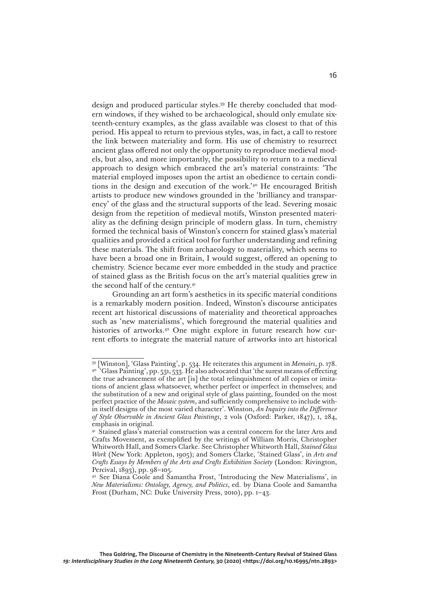design and produced particular styles.39 He thereby concluded that modern windows, if they wished to be archaeological, should only emulate sixteenth-century examples, as the glass available was closest to that of this period. His appeal to return to previous styles, was, in fact, a call to restore the link between materiality and form. His use of chemistry to resurrect ancient glass offered not only the opportunity to reproduce medieval models, but also, and more importantly, the possibility to return to a medieval approach to design which embraced the art's material constraints: 'The material employed imposes upon the artist an obedience to certain conditions in the design and execution of the work.'40 He encouraged British artists to produce new windows grounded in the 'brilliancy and transparency' of the glass and the structural supports of the lead. Severing mosaic design from the repetition of medieval motifs, Winston presented materiality as the defining design principle of modern glass. In turn, chemistry formed the technical basis of Winston's concern for stained glass's material qualities and provided a critical tool for further understanding and refining these materials. The shift from archaeology to materiality, which seems to have been a broad one in Britain, I would suggest, offered an opening to chemistry. Science became ever more embedded in the study and practice of stained glass as the British focus on the art's material qualities grew in the second half of the century.<sup>41</sup>

Grounding an art form's aesthetics in its specific material conditions is a remarkably modern position. Indeed, Winston's discourse anticipates recent art historical discussions of materiality and theoretical approaches such as 'new materialisms', which foreground the material qualities and histories of artworks.<sup>42</sup> One might explore in future research how current efforts to integrate the material nature of artworks into art historical

<sup>39</sup> [Winston], 'Glass Painting', p. 534. He reiterates this argument in *Memoirs*, p. 178. <sup>40</sup> 'Glass Painting', pp. 531, 533. He also advocated that 'the surest means of effecting the true advancement of the art [is] the total relinquishment of all copies or imitations of ancient glass whatsoever, whether perfect or imperfect in themselves; and the substitution of a new and original style of glass painting, founded on the most perfect practice of the *Mosaic system*, and sufficiently comprehensive to include within itself designs of the most varied character'. Winston, *An Inquiry into the Difference of Style Observable in Ancient Glass Paintings*, 2 vols (Oxford: Parker, 1847), i, 284, emphasis in original.

<sup>&</sup>lt;sup>41</sup> Stained glass's material construction was a central concern for the later Arts and Crafts Movement, as exemplified by the writings of William Morris, Christopher Whitworth Hall, and Somers Clarke. See Christopher Whitworth Hall, *Stained Glass Work* (New York: Appleton, 1905); and Somers Clarke, 'Stained Glass', in *Arts and Crafts Essays by Members of the Arts and Crafts Exhibition Society* (London: Rivington, Percival, 1893), pp. 98–105.

<sup>42</sup> See Diana Coole and Samantha Frost, 'Introducing the New Materialisms', in *New Materialisms: Ontology, Agency, and Politics*, ed. by Diana Coole and Samantha Frost (Durham, NC: Duke University Press, 2010), pp. 1–43.